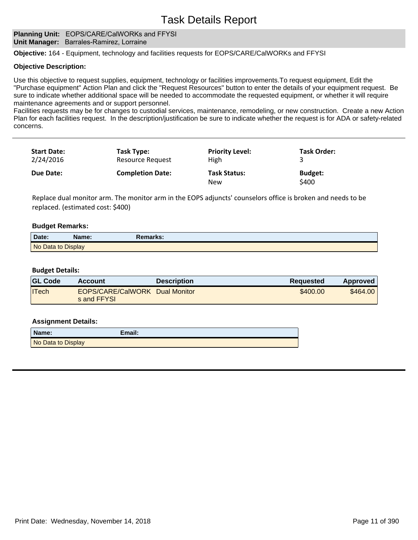### **Planning Unit: EOPS/CARE/CalWORKs and FFYSI Unit Manager:** Barrales-Ramirez, Lorraine

**Objective:** 164 - Equipment, technology and facilities requests for EOPS/CARE/CalWORKs and FFYSI

### **Objective Description:**

Use this objective to request supplies, equipment, technology or facilities improvements.To request equipment, Edit the "Purchase equipment" Action Plan and click the "Request Resources" button to enter the details of your equipment request. Be sure to indicate whether additional space will be needed to accommodate the requested equipment, or whether it will require maintenance agreements and or support personnel.

Facilities requests may be for changes to custodial services, maintenance, remodeling, or new construction. Create a new Action Plan for each facilities request. In the description/justification be sure to indicate whether the request is for ADA or safety-related concerns.

| <b>Start Date:</b><br>2/24/2016 | Task Type:<br><b>Resource Request</b> | <b>Priority Level:</b><br>High | <b>Task Order:</b>      |  |
|---------------------------------|---------------------------------------|--------------------------------|-------------------------|--|
| Due Date:                       | <b>Completion Date:</b>               | <b>Task Status:</b><br>New     | <b>Budget:</b><br>\$400 |  |

Replace dual monitor arm. The monitor arm in the EOPS adjuncts' counselors office is broken and needs to be replaced. (estimated cost: \$400)

# **Budget Remarks:**

| Date:              | Name: | Remarks: |  |
|--------------------|-------|----------|--|
| No Data to Display |       |          |  |

### **Budget Details:**

| <b>GL Code</b> | Account                                       | <b>Description</b> | Requested | Approved |
|----------------|-----------------------------------------------|--------------------|-----------|----------|
| <b>ITech</b>   | EOPS/CARE/CalWORK Dual Monitor<br>s and FFYSL |                    | \$400.00  | \$464.00 |

| Name:              | Email: |
|--------------------|--------|
| No Data to Display |        |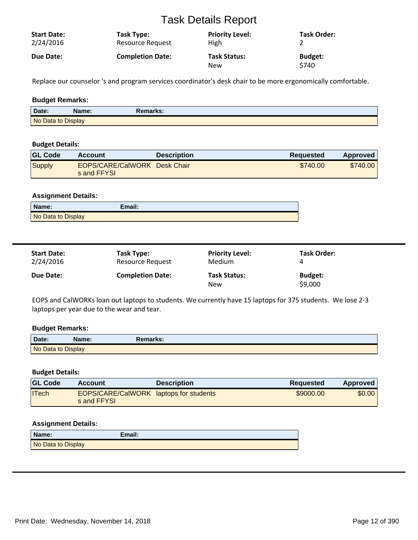| <b>Start Date:</b> | Task Type:              | <b>Priority Level:</b>     | <b>Task Order:</b>      |
|--------------------|-------------------------|----------------------------|-------------------------|
| 2/24/2016          | <b>Resource Request</b> | <b>High</b>                |                         |
| <b>Due Date:</b>   | <b>Completion Date:</b> | <b>Task Status:</b><br>New | <b>Budget:</b><br>\$740 |

Replace our counselor 's and program services coordinator's desk chair to be more ergonomically comfortable.

# **Budget Remarks:**

| Date:              | Name: | Remarks: |
|--------------------|-------|----------|
| No Data to Display |       |          |

# **Budget Details:**

| <b>GL Code</b> | <b>Account</b>                              | <b>Description</b> | <b>Requested</b> | Approved |
|----------------|---------------------------------------------|--------------------|------------------|----------|
| Supply         | EOPS/CARE/CalWORK Desk Chair<br>s and FFYSL |                    | \$740.00         | \$740.00 |

### **Assignment Details:**

| Name:              | Email: |
|--------------------|--------|
| No Data to Display |        |

| <b>Start Date:</b> | Task Type:              | <b>Priority Level:</b>            | <b>Task Order:</b>        |
|--------------------|-------------------------|-----------------------------------|---------------------------|
| 2/24/2016          | Resource Request        | Medium                            | 4                         |
| Due Date:          | <b>Completion Date:</b> | <b>Task Status:</b><br><b>New</b> | <b>Budget:</b><br>\$9,000 |

EOPS and CalWORKs loan out laptops to students. We currently have 15 laptops for 375 students. We lose 2-3 laptops per year due to the wear and tear.

# **Budget Remarks:**

| Date:              | Name: | Remarks: |  |
|--------------------|-------|----------|--|
| No Data to Display |       |          |  |

# **Budget Details:**

| <b>GL Code</b> | Account                                                      | <b>Description</b> | <b>Requested</b> | <b>Approved</b> |
|----------------|--------------------------------------------------------------|--------------------|------------------|-----------------|
| ITech          | <b>EOPS/CARE/CalWORK laptops for students</b><br>s and FFYSL |                    | \$9000.00        | \$0.00          |

| Name:              | Email: |
|--------------------|--------|
| No Data to Display |        |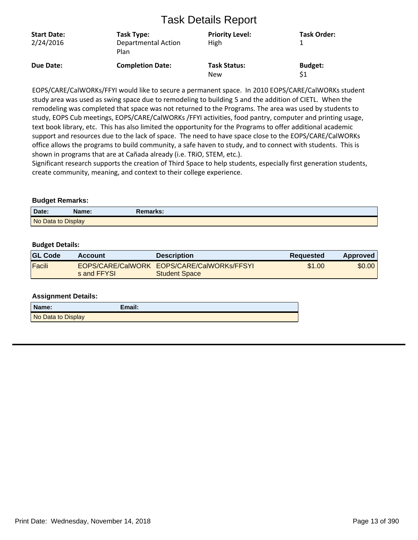| <b>Start Date:</b><br>2/24/2016 | Task Type:<br><b>Departmental Action</b><br>Plan | <b>Priority Level:</b><br>High    | <b>Task Order:</b>    |
|---------------------------------|--------------------------------------------------|-----------------------------------|-----------------------|
| Due Date:                       | <b>Completion Date:</b>                          | <b>Task Status:</b><br><b>New</b> | <b>Budget:</b><br>\$1 |

EOPS/CARE/CalWORKs/FFYI would like to secure a permanent space. In 2010 EOPS/CARE/CalWORKs student study area was used as swing space due to remodeling to building 5 and the addition of CIETL. When the remodeling was completed that space was not returned to the Programs. The area was used by students to study, EOPS Cub meetings, EOPS/CARE/CalWORKs /FFYI activities, food pantry, computer and printing usage, text book library, etc. This has also limited the opportunity for the Programs to offer additional academic support and resources due to the lack of space. The need to have space close to the EOPS/CARE/CalWORKs office allows the programs to build community, a safe haven to study, and to connect with students. This is shown in programs that are at Cañada already (i.e. TRIO, STEM, etc.).

Significant research supports the creation of Third Space to help students, especially first generation students, create community, meaning, and context to their college experience.

# **Budget Remarks:**

| Date:              | Name: | Remarks: |  |
|--------------------|-------|----------|--|
| No Data to Display |       |          |  |

# **Budget Details:**

| <b>GL Code</b> | Account     | <b>Description</b>                                                 | <b>Requested</b> | Approved |
|----------------|-------------|--------------------------------------------------------------------|------------------|----------|
| Facili         | s and FFYSL | EOPS/CARE/CalWORK EOPS/CARE/CalWORKs/FFSYL<br><b>Student Space</b> | \$1.00           | \$0.00   |

| Name:              | Email: |
|--------------------|--------|
| No Data to Display |        |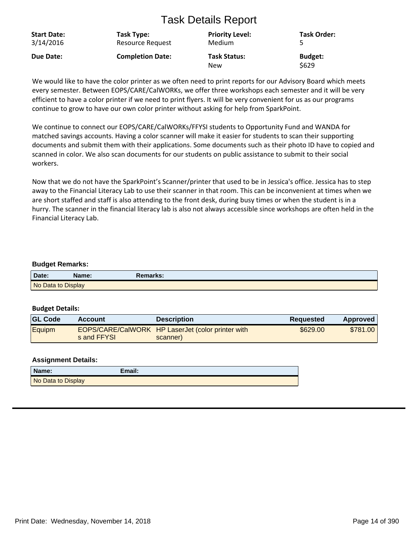| <b>Start Date:</b> | Task Type:              | <b>Priority Level:</b>            | <b>Task Order:</b>      |
|--------------------|-------------------------|-----------------------------------|-------------------------|
| 3/14/2016          | <b>Resource Request</b> | Medium                            |                         |
| Due Date:          | <b>Completion Date:</b> | <b>Task Status:</b><br><b>New</b> | <b>Budget:</b><br>\$629 |

We would like to have the color printer as we often need to print reports for our Advisory Board which meets every semester. Between EOPS/CARE/CalWORKs, we offer three workshops each semester and it will be very efficient to have a color printer if we need to print flyers. It will be very convenient for us as our programs continue to grow to have our own color printer without asking for help from SparkPoint.

We continue to connect our EOPS/CARE/CalWORKs/FFYSI students to Opportunity Fund and WANDA for matched savings accounts. Having a color scanner will make it easier for students to scan their supporting documents and submit them with their applications. Some documents such as their photo ID have to copied and scanned in color. We also scan documents for our students on public assistance to submit to their social workers.

Now that we do not have the SparkPoint's Scanner/printer that used to be in Jessica's office. Jessica has to step away to the Financial Literacy Lab to use their scanner in that room. This can be inconvenient at times when we are short staffed and staff is also attending to the front desk, during busy times or when the student is in a hurry. The scanner in the financial literacy lab is also not always accessible since workshops are often held in the Financial Literacy Lab.

# **Budget Remarks:**

| Date:              | Name: | Remarks: |
|--------------------|-------|----------|
| No Data to Display |       |          |

### **Budget Details:**

| <b>GL Code</b> | <b>Account</b> | <b>Description</b>                                            | <b>Requested</b> | <b>Approved</b> |
|----------------|----------------|---------------------------------------------------------------|------------------|-----------------|
| Equipm         | s and FFYSL    | EOPS/CARE/CalWORK HP LaserJet (color printer with<br>scanner) | \$629.00         | \$781.00        |

| Name:              | Email: |
|--------------------|--------|
| No Data to Display |        |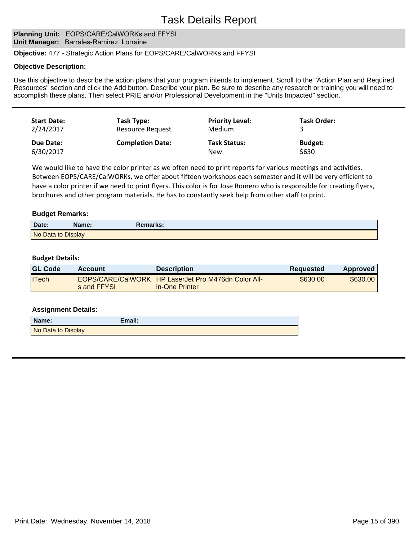# **Planning Unit: EOPS/CARE/CalWORKs and FFYSI Unit Manager:** Barrales-Ramirez, Lorraine

### **Objective:** 477 - Strategic Action Plans for EOPS/CARE/CalWORKs and FFYSI

#### **Objective Description:**

Use this objective to describe the action plans that your program intends to implement. Scroll to the "Action Plan and Required Resources" section and click the Add button. Describe your plan. Be sure to describe any research or training you will need to accomplish these plans. Then select PRIE and/or Professional Development in the "Units Impacted" section.

| <b>Start Date:</b> | Task Type:              | <b>Priority Level:</b> | <b>Task Order:</b> |
|--------------------|-------------------------|------------------------|--------------------|
| 2/24/2017          | Resource Request        | Medium                 |                    |
| Due Date:          | <b>Completion Date:</b> | <b>Task Status:</b>    | <b>Budget:</b>     |
| 6/30/2017          |                         | <b>New</b>             | \$630              |

We would like to have the color printer as we often need to print reports for various meetings and activities. Between EOPS/CARE/CalWORKs, we offer about fifteen workshops each semester and it will be very efficient to have a color printer if we need to print flyers. This color is for Jose Romero who is responsible for creating flyers, brochures and other program materials. He has to constantly seek help from other staff to print.

### **Budget Remarks:**

| Date:              | Name: | Remarks: |  |
|--------------------|-------|----------|--|
| No Data to Display |       |          |  |

#### **Budget Details:**

| <b>GL Code</b> | Account     | <b>Description</b>                                                    | Requested | Approved |
|----------------|-------------|-----------------------------------------------------------------------|-----------|----------|
| <b>ITech</b>   | s and FFYSL | EOPS/CARE/CalWORK HP LaserJet Pro M476dn Color All-<br>in-One Printer | \$630.00  | \$630.00 |

| Name:              | Email: |
|--------------------|--------|
| No Data to Display |        |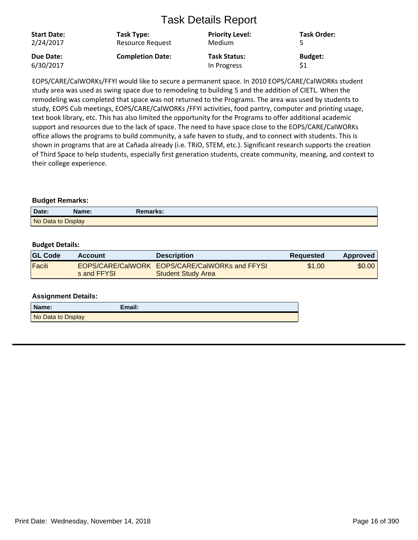| <b>Start Date:</b><br>2/24/2017 | Task Type:<br>Resource Request | <b>Priority Level:</b><br>Medium | <b>Task Order:</b> |
|---------------------------------|--------------------------------|----------------------------------|--------------------|
| Due Date:                       | <b>Completion Date:</b>        | <b>Task Status:</b>              | <b>Budget:</b>     |
| 6/30/2017                       |                                | In Progress                      | \$1                |

EOPS/CARE/CalWORKs/FFYI would like to secure a permanent space. In 2010 EOPS/CARE/CalWORKs student study area was used as swing space due to remodeling to building 5 and the addition of CIETL. When the remodeling was completed that space was not returned to the Programs. The area was used by students to study, EOPS Cub meetings, EOPS/CARE/CalWORKs /FFYI activities, food pantry, computer and printing usage, text book library, etc. This has also limited the opportunity for the Programs to offer additional academic support and resources due to the lack of space. The need to have space close to the EOPS/CARE/CalWORKs office allows the programs to build community, a safe haven to study, and to connect with students. This is shown in programs that are at Cañada already (i.e. TRiO, STEM, etc.). Significant research supports the creation of Third Space to help students, especially first generation students, create community, meaning, and context to their college experience.

# **Budget Remarks:**

| Date:              | Name: | Remarks: |  |
|--------------------|-------|----------|--|
| No Data to Display |       |          |  |

# **Budget Details:**

| <b>GL Code</b> | <b>Account</b> | <b>Description</b>                                                          | <b>Requested</b> | Approved |
|----------------|----------------|-----------------------------------------------------------------------------|------------------|----------|
| Facili         | s and FFYSL    | EOPS/CARE/CalWORK EOPS/CARE/CalWORKs and FFYSI<br><b>Student Study Area</b> | \$1.00           | \$0.00   |

| Name:              | Email: |
|--------------------|--------|
| No Data to Display |        |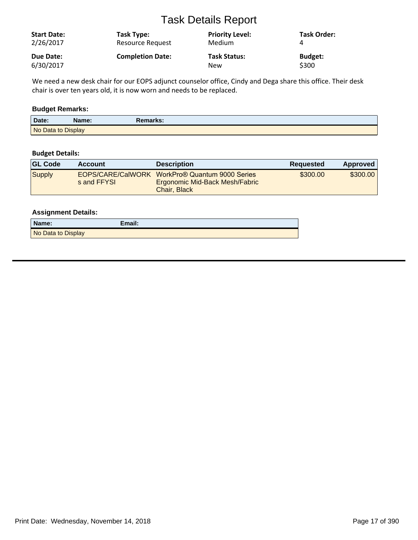| <b>Start Date:</b><br>2/26/2017 | Task Type:<br><b>Resource Request</b> | <b>Priority Level:</b><br>Medium | <b>Task Order:</b> |
|---------------------------------|---------------------------------------|----------------------------------|--------------------|
| Due Date:                       | <b>Completion Date:</b>               | <b>Task Status:</b>              | <b>Budget:</b>     |
| 6/30/2017                       |                                       | New                              | \$300              |

We need a new desk chair for our EOPS adjunct counselor office, Cindy and Dega share this office. Their desk chair is over ten years old, it is now worn and needs to be replaced.

# **Budget Remarks:**

| Date:              | Name: | Remarks: |
|--------------------|-------|----------|
| No Data to Display |       |          |

# **Budget Details:**

| <b>GL Code</b> | <b>Account</b> | <b>Description</b>                                                                               | <b>Requested</b> | Approved |
|----------------|----------------|--------------------------------------------------------------------------------------------------|------------------|----------|
| Supply         | s and FFYSL    | EOPS/CARE/CalWORK WorkPro® Quantum 9000 Series<br>Ergonomic Mid-Back Mesh/Fabric<br>Chair, Black | \$300.00         | \$300,00 |

| Name:              | Email: |
|--------------------|--------|
| No Data to Display |        |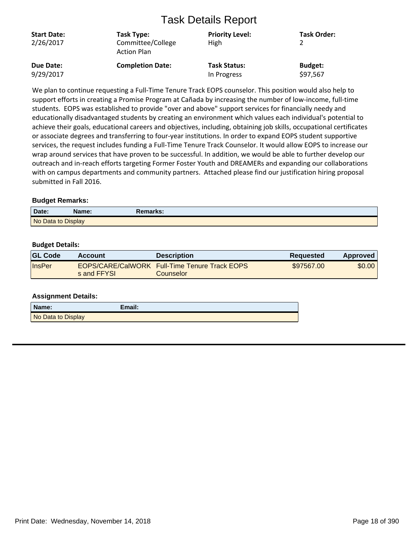| <b>Start Date:</b><br>2/26/2017 | Task Type:<br>Committee/College<br><b>Action Plan</b> | <b>Priority Level:</b><br>High | <b>Task Order:</b> |
|---------------------------------|-------------------------------------------------------|--------------------------------|--------------------|
| Due Date:                       | <b>Completion Date:</b>                               | <b>Task Status:</b>            | <b>Budget:</b>     |
| 9/29/2017                       |                                                       | In Progress                    | \$97,567           |

We plan to continue requesting a Full-Time Tenure Track EOPS counselor. This position would also help to support efforts in creating a Promise Program at Cañada by increasing the number of low-income, full-time students. EOPS was established to provide "over and above" support services for financially needy and educationally disadvantaged students by creating an environment which values each individual's potential to achieve their goals, educational careers and objectives, including, obtaining job skills, occupational certificates or associate degrees and transferring to four-year institutions. In order to expand EOPS student supportive services, the request includes funding a Full-Time Tenure Track Counselor. It would allow EOPS to increase our wrap around services that have proven to be successful. In addition, we would be able to further develop our outreach and in-reach efforts targeting Former Foster Youth and DREAMERs and expanding our collaborations with on campus departments and community partners. Attached please find our justification hiring proposal submitted in Fall 2016.

# **Budget Remarks:**

| Date:              | Name: | Remarks: |  |
|--------------------|-------|----------|--|
| No Data to Display |       |          |  |

# **Budget Details:**

| <b>GL Code</b> | Account     | <b>Description</b>                                                | <b>Requested</b> | Approved |
|----------------|-------------|-------------------------------------------------------------------|------------------|----------|
| <b>InsPer</b>  | s and FFYSL | <b>EOPS/CARE/CalWORK Full-Time Tenure Track EOPS</b><br>Counselor | \$97567.00       | \$0.00   |

| Name:              | Email: |
|--------------------|--------|
| No Data to Display |        |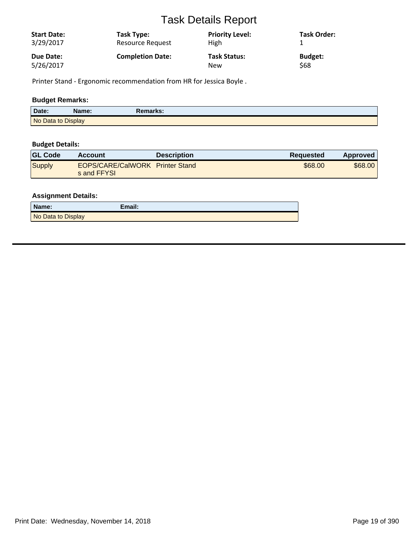| <b>Start Date:</b><br>3/29/2017 | Task Type:<br>Resource Request | <b>Priority Level:</b><br><b>High</b> | <b>Task Order:</b> |
|---------------------------------|--------------------------------|---------------------------------------|--------------------|
| Due Date:                       | <b>Completion Date:</b>        | <b>Task Status:</b>                   | <b>Budget:</b>     |
| 5/26/2017                       |                                | <b>New</b>                            | <b>S68</b>         |

Printer Stand - Ergonomic recommendation from HR for Jessica Boyle .

# **Budget Remarks:**

| Date:              | \lame: | <b>Remarks:</b> |
|--------------------|--------|-----------------|
| No Data to Display |        |                 |

# **Budget Details:**

| <b>GL Code</b> | <b>Account</b>                                 | <b>Description</b> | <b>Requested</b> | Approved |
|----------------|------------------------------------------------|--------------------|------------------|----------|
| Supply         | EOPS/CARE/CalWORK Printer Stand<br>s and FFYSL |                    | \$68,00          | \$68,00  |

| Name:              | $E$ mail: |
|--------------------|-----------|
| No Data to Display |           |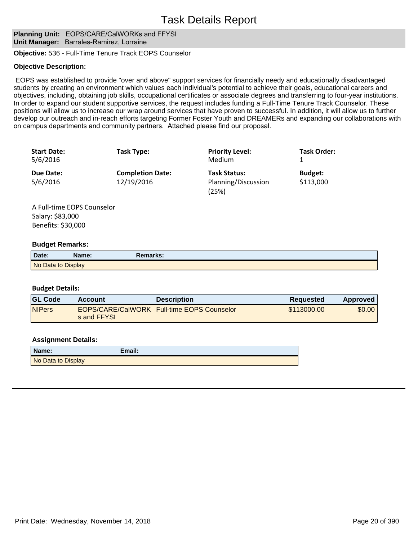# **Planning Unit: EOPS/CARE/CalWORKs and FFYSI Unit Manager:** Barrales-Ramirez, Lorraine

**Objective:** 536 - Full-Time Tenure Track EOPS Counselor

### **Objective Description:**

 EOPS was established to provide "over and above" support services for financially needy and educationally disadvantaged students by creating an environment which values each individual's potential to achieve their goals, educational careers and objectives, including, obtaining job skills, occupational certificates or associate degrees and transferring to four-year institutions. In order to expand our student supportive services, the request includes funding a Full-Time Tenure Track Counselor. These positions will allow us to increase our wrap around services that have proven to successful. In addition, it will allow us to further develop our outreach and in-reach efforts targeting Former Foster Youth and DREAMERs and expanding our collaborations with on campus departments and community partners. Attached please find our proposal.

| <b>Start Date:</b><br>5/6/2016 | Task Type:                            | <b>Priority Level:</b><br><b>Medium</b>             | Task Order:                 |
|--------------------------------|---------------------------------------|-----------------------------------------------------|-----------------------------|
| Due Date:<br>5/6/2016          | <b>Completion Date:</b><br>12/19/2016 | <b>Task Status:</b><br>Planning/Discussion<br>(25%) | <b>Budget:</b><br>\$113,000 |

A Full-time EOPS Counselor Salary: \$83,000 Benefits: \$30,000

### **Budget Remarks:**

| Date:              | Name: | Remarks: |
|--------------------|-------|----------|
| No Data to Display |       |          |

### **Budget Details:**

| <b>GL Code</b> | Account     | <b>Description</b>                                | <b>Requested</b> | Approved |
|----------------|-------------|---------------------------------------------------|------------------|----------|
| <b>NIPers</b>  | s and FFYSL | <b>EOPS/CARE/CalWORK Full-time EOPS Counselor</b> | \$113000.00      | \$0.00   |

| Name:              | Email: |
|--------------------|--------|
| No Data to Display |        |